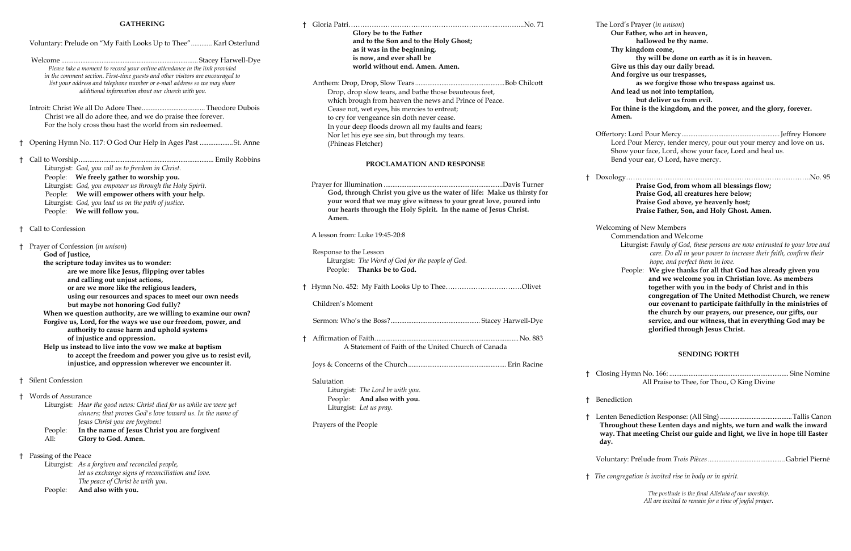#### **GATHERING**

Offertory: Lord Pour Mercy........................................................Jeffrey Honore Pour Mercy, tender mercy, pour out your mercy and love on us. w your face, Lord, show your face, Lord and heal us. d your ear, O Lord, have mercy.

† Lenten Benediction Response: (All Sing).........................................Tallis Canon hout these Lenten days and nights, we turn and walk the inward rat meeting Christ our guide and light, we live in hope till Easter

|                                                         | <b>GATHERING</b>                                                                                                                                           |                                                                             |              | The Lord'      |
|---------------------------------------------------------|------------------------------------------------------------------------------------------------------------------------------------------------------------|-----------------------------------------------------------------------------|--------------|----------------|
|                                                         |                                                                                                                                                            | Glory be to the Father                                                      |              | Our            |
|                                                         | Voluntary: Prelude on "My Faith Looks Up to Thee" Karl Osterlund                                                                                           | and to the Son and to the Holy Ghost;                                       |              |                |
|                                                         |                                                                                                                                                            | as it was in the beginning,                                                 |              | Thy            |
|                                                         |                                                                                                                                                            | is now, and ever shall be<br>world without end. Amen. Amen.                 |              |                |
|                                                         | Please take a moment to record your online attendance in the link provided                                                                                 |                                                                             |              | Give<br>And    |
|                                                         | in the comment section. First-time guests and other visitors are encouraged to<br>list your address and telephone number or e-mail address so we may share |                                                                             | Bob Chilcott |                |
|                                                         | additional information about our church with you.                                                                                                          | Drop, drop slow tears, and bathe those beauteous feet,                      |              | And            |
|                                                         |                                                                                                                                                            | which brough from heaven the news and Prince of Peace.                      |              |                |
|                                                         |                                                                                                                                                            | Cease not, wet eyes, his mercies to entreat;                                |              | For t          |
|                                                         | Christ we all do adore thee, and we do praise thee forever.                                                                                                | to cry for vengeance sin doth never cease.                                  |              | Ame            |
|                                                         | For the holy cross thou hast the world from sin redeemed.                                                                                                  | In your deep floods drown all my faults and fears;                          |              |                |
|                                                         |                                                                                                                                                            | Nor let his eye see sin, but through my tears.                              |              | Offertory:     |
|                                                         | † Opening Hymn No. 117: O God Our Help in Ages Past St. Anne                                                                                               | (Phineas Fletcher)                                                          |              | Lord           |
|                                                         |                                                                                                                                                            |                                                                             |              | Shov           |
|                                                         |                                                                                                                                                            | PROCLAMATION AND RESPONSE                                                   |              | Benc           |
|                                                         | Liturgist: God, you call us to freedom in Christ.<br>People: We freely gather to worship you.                                                              |                                                                             |              |                |
|                                                         | Liturgist: God, you empower us through the Holy Spirit.                                                                                                    |                                                                             |              | Doxology       |
|                                                         | People: We will empower others with your help.                                                                                                             | God, through Christ you give us the water of life: Make us thirsty for      |              |                |
|                                                         | Liturgist: God, you lead us on the path of justice.                                                                                                        | your word that we may give witness to your great love, poured into          |              |                |
|                                                         | People: We will follow you.                                                                                                                                | our hearts through the Holy Spirit. In the name of Jesus Christ.            |              |                |
|                                                         |                                                                                                                                                            | Amen.                                                                       |              |                |
|                                                         | <sup>†</sup> Call to Confession                                                                                                                            |                                                                             |              | Welcomir       |
|                                                         |                                                                                                                                                            | A lesson from: Luke 19:45-20:8                                              |              | Com            |
|                                                         | † Prayer of Confession (in unison)                                                                                                                         |                                                                             |              | L              |
|                                                         | God of Justice,                                                                                                                                            | Response to the Lesson<br>Liturgist: The Word of God for the people of God. |              |                |
|                                                         | the scripture today invites us to wonder:                                                                                                                  | People: Thanks be to God.                                                   |              |                |
|                                                         | are we more like Jesus, flipping over tables                                                                                                               |                                                                             |              |                |
|                                                         | and calling out unjust actions,<br>or are we more like the religious leaders,                                                                              | <sup>†</sup> Hymn No. 452: My Faith Looks Up to TheeOlivet                  |              |                |
|                                                         | using our resources and spaces to meet our own needs                                                                                                       |                                                                             |              |                |
|                                                         | but maybe not honoring God fully?                                                                                                                          | Children's Moment                                                           |              |                |
|                                                         | When we question authority, are we willing to examine our own?                                                                                             |                                                                             |              |                |
|                                                         | Forgive us, Lord, for the ways we use our freedom, power, and                                                                                              |                                                                             |              |                |
|                                                         | authority to cause harm and uphold systems                                                                                                                 |                                                                             |              |                |
|                                                         | of injustice and oppression.                                                                                                                               |                                                                             |              |                |
| Help us instead to live into the vow we make at baptism |                                                                                                                                                            | A Statement of Faith of the United Church of Canada                         |              |                |
|                                                         | to accept the freedom and power you give us to resist evil,<br>injustice, and oppression wherever we encounter it.                                         |                                                                             |              |                |
|                                                         |                                                                                                                                                            |                                                                             |              |                |
|                                                         | † Silent Confession                                                                                                                                        | Salutation                                                                  |              | Closing H      |
|                                                         |                                                                                                                                                            | Liturgist: The Lord be with you.                                            |              |                |
|                                                         | † Words of Assurance                                                                                                                                       | People: And also with you.                                                  |              | Benedicti      |
|                                                         | Liturgist: Hear the good news: Christ died for us while we were yet                                                                                        | Liturgist: Let us pray.                                                     |              |                |
|                                                         | sinners; that proves God's love toward us. In the name of                                                                                                  |                                                                             |              | Lenten Be      |
|                                                         | Jesus Christ you are forgiven!                                                                                                                             | Prayers of the People                                                       |              | <b>Through</b> |
|                                                         | In the name of Jesus Christ you are forgiven!<br>People:<br>Glory to God. Amen.<br>All:                                                                    |                                                                             |              | way. Th        |
|                                                         |                                                                                                                                                            |                                                                             |              | day.           |
|                                                         | Passing of the Peace                                                                                                                                       |                                                                             |              |                |
|                                                         | Liturgist: As a forgiven and reconciled people,                                                                                                            |                                                                             |              | Voluntary      |
|                                                         | let us exchange signs of reconciliation and love.                                                                                                          |                                                                             |              |                |
|                                                         | The peace of Christ be with you.                                                                                                                           |                                                                             |              | † The congre   |
|                                                         | And also with you.<br>People:                                                                                                                              |                                                                             |              |                |

The Lord's Prayer (*in unison*) **Our Father, who art in heaven, hallowed be thy name. Thy kingdom come, thy will be done on earth as it is in heaven. give us this day our daily bread. A** forgive us our trespasses, **as we forgive those who trespass against us. And lead us not into temptation, but deliver us from evil. For thine is the kingdom, and the power, and the glory, forever. Amen.**

> † Doxology……………………………………………………………………..No. 95 **Praise God, from whom all blessings flow; Praise God, all creatures here below; Praise God above, ye heavenly host; Praise Father, Son, and Holy Ghost. Amen.**

ng of New Members

nmendation and Welcome

 Liturgist: *Family of God, these persons are now entrusted to your love and care. Do all in your power to increase their faith, confirm their hope, and perfect them in love.* 

 People: **We give thanks for all that God has already given you and we welcome you in Christian love. As members together with you in the body of Christ and in this congregation of The United Methodist Church, we renew our covenant to participate faithfully in the ministries of the church by our prayers, our presence, our gifts, our service, and our witness, that in everything God may be glorified through Jesus Christ.**

#### **SENDING FORTH**

† Closing Hymn No. 166: .................................................................... Sine Nomine All Praise to Thee, for Thou, O King Divine

ion

Voluntary: Prélude from *Trois Pièces*............................................Gabriel Pierné

† *The congregation is invited rise in body or in spirit.*

*The postlude is the final Alleluia of our worship. All are invited to remain for a time of joyful prayer.*